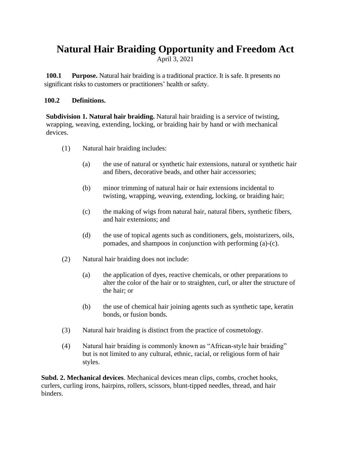## **Natural Hair Braiding Opportunity and Freedom Act**

April 3, 2021

**100.1 Purpose.** Natural hair braiding is a traditional practice. It is safe. It presents no significant risks to customers or practitioners' health or safety.

## **100.2 Definitions.**

**Subdivision 1. Natural hair braiding.** Natural hair braiding is a service of twisting, wrapping, weaving, extending, locking, or braiding hair by hand or with mechanical devices.

- (1) Natural hair braiding includes:
	- (a) the use of natural or synthetic hair extensions, natural or synthetic hair and fibers, decorative beads, and other hair accessories;
	- (b) minor trimming of natural hair or hair extensions incidental to twisting, wrapping, weaving, extending, locking, or braiding hair;
	- (c) the making of wigs from natural hair, natural fibers, synthetic fibers, and hair extensions; and
	- (d) the use of topical agents such as conditioners, gels, moisturizers, oils, pomades, and shampoos in conjunction with performing (a)-(c).
- (2) Natural hair braiding does not include:
	- (a) the application of dyes, reactive chemicals, or other preparations to alter the color of the hair or to straighten, curl, or alter the structure of the hair; or
	- (b) the use of chemical hair joining agents such as synthetic tape, keratin bonds, or fusion bonds.
- (3) Natural hair braiding is distinct from the practice of cosmetology.
- (4) Natural hair braiding is commonly known as "African-style hair braiding" but is not limited to any cultural, ethnic, racial, or religious form of hair styles.

**Subd. 2. Mechanical devices**. Mechanical devices mean clips, combs, crochet hooks, curlers, curling irons, hairpins, rollers, scissors, blunt-tipped needles, thread, and hair binders.